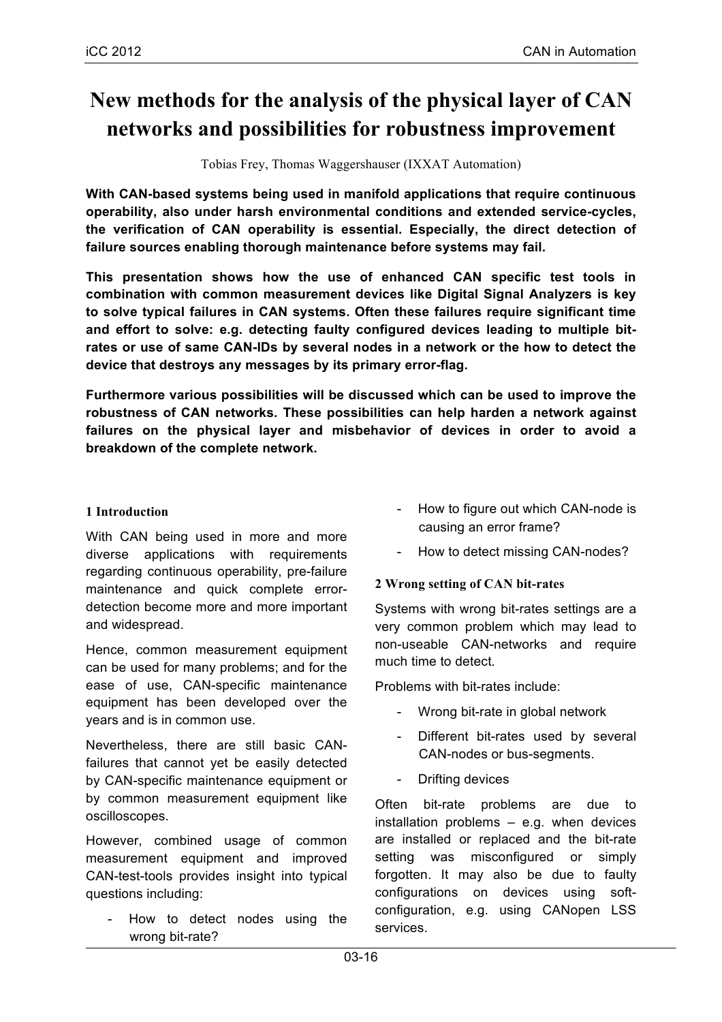# **New methods for the analysis of the physical layer of CAN networks and possibilities for robustness improvement**

Tobias Frey, Thomas Waggershauser (IXXAT Automation)

**With CAN-based systems being used in manifold applications that require continuous operability, also under harsh environmental conditions and extended service-cycles, the verification of CAN operability is essential. Especially, the direct detection of failure sources enabling thorough maintenance before systems may fail.**

**This presentation shows how the use of enhanced CAN specific test tools in combination with common measurement devices like Digital Signal Analyzers is key to solve typical failures in CAN systems. Often these failures require significant time and effort to solve: e.g. detecting faulty configured devices leading to multiple bitrates or use of same CAN-IDs by several nodes in a network or the how to detect the device that destroys any messages by its primary error-flag.**

**Furthermore various possibilities will be discussed which can be used to improve the robustness of CAN networks. These possibilities can help harden a network against failures on the physical layer and misbehavior of devices in order to avoid a breakdown of the complete network.**

#### **1 Introduction**

With CAN being used in more and more diverse applications with requirements regarding continuous operability, pre-failure maintenance and quick complete errordetection become more and more important and widespread.

Hence, common measurement equipment can be used for many problems; and for the ease of use, CAN-specific maintenance equipment has been developed over the years and is in common use.

Nevertheless, there are still basic CANfailures that cannot yet be easily detected by CAN-specific maintenance equipment or by common measurement equipment like oscilloscopes.

However, combined usage of common measurement equipment and improved CAN-test-tools provides insight into typical questions including:

How to detect nodes using the wrong bit-rate?

- How to figure out which CAN-node is causing an error frame?
- How to detect missing CAN-nodes?

#### **2 Wrong setting of CAN bit-rates**

Systems with wrong bit-rates settings are a very common problem which may lead to non-useable CAN-networks and require much time to detect.

Problems with bit-rates include:

- Wrong bit-rate in global network
- Different bit-rates used by several CAN-nodes or bus-segments.
- Drifting devices

Often bit-rate problems are due to installation problems – e.g. when devices are installed or replaced and the bit-rate setting was misconfigured or simply forgotten. It may also be due to faulty configurations on devices using softconfiguration, e.g. using CANopen LSS services.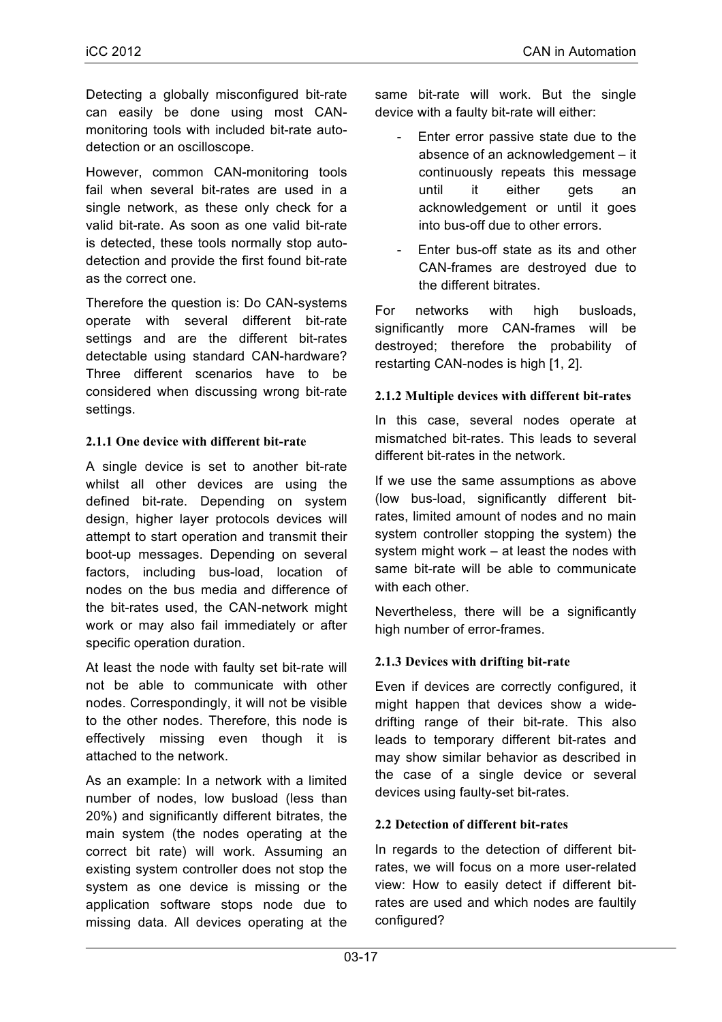Detecting a globally misconfigured bit-rate can easily be done using most CANmonitoring tools with included bit-rate autodetection or an oscilloscope.

However, common CAN-monitoring tools fail when several bit-rates are used in a single network, as these only check for a valid bit-rate. As soon as one valid bit-rate is detected, these tools normally stop autodetection and provide the first found bit-rate as the correct one.

Therefore the question is: Do CAN-systems operate with several different bit-rate settings and are the different bit-rates detectable using standard CAN-hardware? Three different scenarios have to be considered when discussing wrong bit-rate settings.

#### **2.1.1 One device with different bit-rate**

A single device is set to another bit-rate whilst all other devices are using the defined bit-rate. Depending on system design, higher layer protocols devices will attempt to start operation and transmit their boot-up messages. Depending on several factors, including bus-load, location of nodes on the bus media and difference of the bit-rates used, the CAN-network might work or may also fail immediately or after specific operation duration.

At least the node with faulty set bit-rate will not be able to communicate with other nodes. Correspondingly, it will not be visible to the other nodes. Therefore, this node is effectively missing even though it is attached to the network.

As an example: In a network with a limited number of nodes, low busload (less than 20%) and significantly different bitrates, the main system (the nodes operating at the correct bit rate) will work. Assuming an existing system controller does not stop the system as one device is missing or the application software stops node due to missing data. All devices operating at the same bit-rate will work. But the single device with a faulty bit-rate will either:

- Enter error passive state due to the absence of an acknowledgement – it continuously repeats this message until it either gets an acknowledgement or until it goes into bus-off due to other errors.
- Enter bus-off state as its and other CAN-frames are destroyed due to the different bitrates.

For networks with high busloads, significantly more CAN-frames will be destroyed; therefore the probability of restarting CAN-nodes is high [1, 2].

#### **2.1.2 Multiple devices with different bit-rates**

In this case, several nodes operate at mismatched bit-rates. This leads to several different bit-rates in the network.

If we use the same assumptions as above (low bus-load, significantly different bitrates, limited amount of nodes and no main system controller stopping the system) the system might work – at least the nodes with same bit-rate will be able to communicate with each other.

Nevertheless, there will be a significantly high number of error-frames.

# **2.1.3 Devices with drifting bit-rate**

Even if devices are correctly configured, it might happen that devices show a widedrifting range of their bit-rate. This also leads to temporary different bit-rates and may show similar behavior as described in the case of a single device or several devices using faulty-set bit-rates.

#### **2.2 Detection of different bit-rates**

In regards to the detection of different bitrates, we will focus on a more user-related view: How to easily detect if different bitrates are used and which nodes are faultily configured?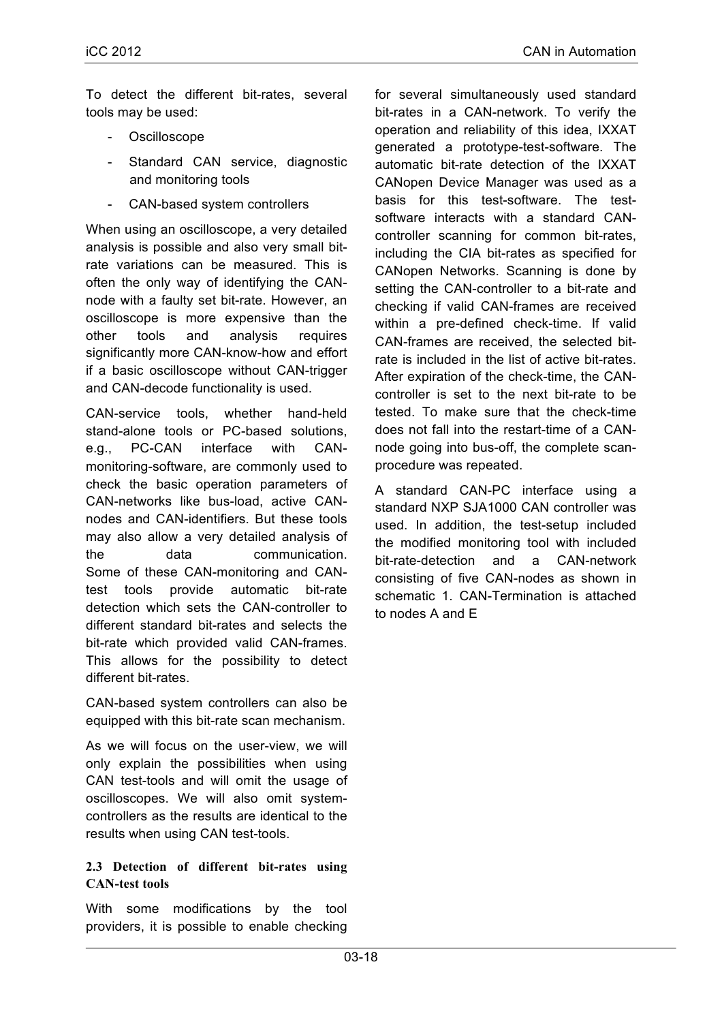To detect the different bit-rates, several tools may be used:

- Oscilloscope
- Standard CAN service, diagnostic and monitoring tools
- CAN-based system controllers

When using an oscilloscope, a very detailed analysis is possible and also very small bitrate variations can be measured. This is often the only way of identifying the CANnode with a faulty set bit-rate. However, an oscilloscope is more expensive than the other tools and analysis requires significantly more CAN-know-how and effort if a basic oscilloscope without CAN-trigger and CAN-decode functionality is used.

CAN-service tools, whether hand-held stand-alone tools or PC-based solutions, e.g., PC-CAN interface with CANmonitoring-software, are commonly used to check the basic operation parameters of CAN-networks like bus-load, active CANnodes and CAN-identifiers. But these tools may also allow a very detailed analysis of the data communication. Some of these CAN-monitoring and CANtest tools provide automatic bit-rate detection which sets the CAN-controller to different standard bit-rates and selects the bit-rate which provided valid CAN-frames. This allows for the possibility to detect different bit-rates.

CAN-based system controllers can also be equipped with this bit-rate scan mechanism.

As we will focus on the user-view, we will only explain the possibilities when using CAN test-tools and will omit the usage of oscilloscopes. We will also omit systemcontrollers as the results are identical to the results when using CAN test-tools.

## **2.3 Detection of different bit-rates using CAN-test tools**

With some modifications by the tool providers, it is possible to enable checking

for several simultaneously used standard bit-rates in a CAN-network. To verify the operation and reliability of this idea, IXXAT generated a prototype-test-software. The automatic bit-rate detection of the IXXAT CANopen Device Manager was used as a basis for this test-software. The testsoftware interacts with a standard CANcontroller scanning for common bit-rates, including the CIA bit-rates as specified for CANopen Networks. Scanning is done by setting the CAN-controller to a bit-rate and checking if valid CAN-frames are received within a pre-defined check-time. If valid CAN-frames are received, the selected bitrate is included in the list of active bit-rates. After expiration of the check-time, the CANcontroller is set to the next bit-rate to be tested. To make sure that the check-time does not fall into the restart-time of a CANnode going into bus-off, the complete scanprocedure was repeated.

A standard CAN-PC interface using a standard NXP SJA1000 CAN controller was used. In addition, the test-setup included the modified monitoring tool with included bit-rate-detection and a CAN-network consisting of five CAN-nodes as shown in schematic 1. CAN-Termination is attached to nodes A and E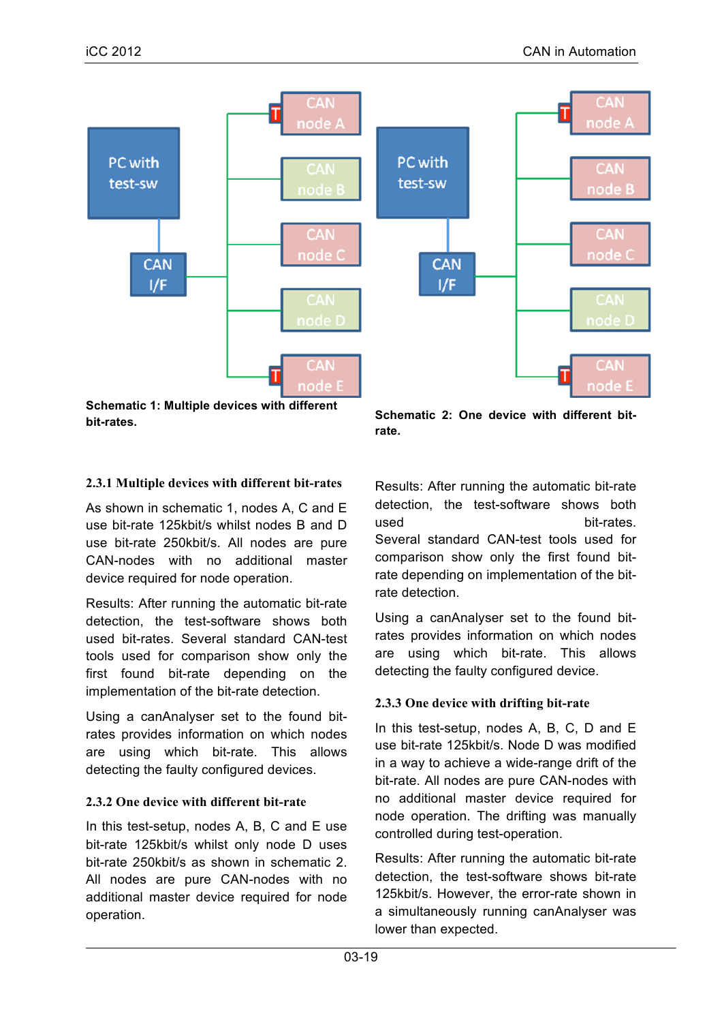

**Schematic 1: Multiple devices with different bit-rates.** 

**Schematic 2: One device with different bitrate.**

# **2.3.1 Multiple devices with different bit-rates**

As shown in schematic 1, nodes A, C and E use bit-rate 125kbit/s whilst nodes B and D use bit-rate 250kbit/s. All nodes are pure CAN-nodes with no additional master device required for node operation.

Results: After running the automatic bit-rate detection, the test-software shows both used bit-rates. Several standard CAN-test tools used for comparison show only the first found bit-rate depending on the implementation of the bit-rate detection.

Using a canAnalyser set to the found bitrates provides information on which nodes are using which bit-rate. This allows detecting the faulty configured devices.

# **2.3.2 One device with different bit-rate**

In this test-setup, nodes A, B, C and E use bit-rate 125kbit/s whilst only node D uses bit-rate 250kbit/s as shown in schematic 2. All nodes are pure CAN-nodes with no additional master device required for node operation.

Results: After running the automatic bit-rate detection, the test-software shows both used bit-rates. Several standard CAN-test tools used for comparison show only the first found bitrate depending on implementation of the bitrate detection.

Using a canAnalyser set to the found bitrates provides information on which nodes are using which bit-rate. This allows detecting the faulty configured device.

# **2.3.3 One device with drifting bit-rate**

In this test-setup, nodes A, B, C, D and E use bit-rate 125kbit/s. Node D was modified in a way to achieve a wide-range drift of the bit-rate. All nodes are pure CAN-nodes with no additional master device required for node operation. The drifting was manually controlled during test-operation.

Results: After running the automatic bit-rate detection, the test-software shows bit-rate 125kbit/s. However, the error-rate shown in a simultaneously running canAnalyser was lower than expected.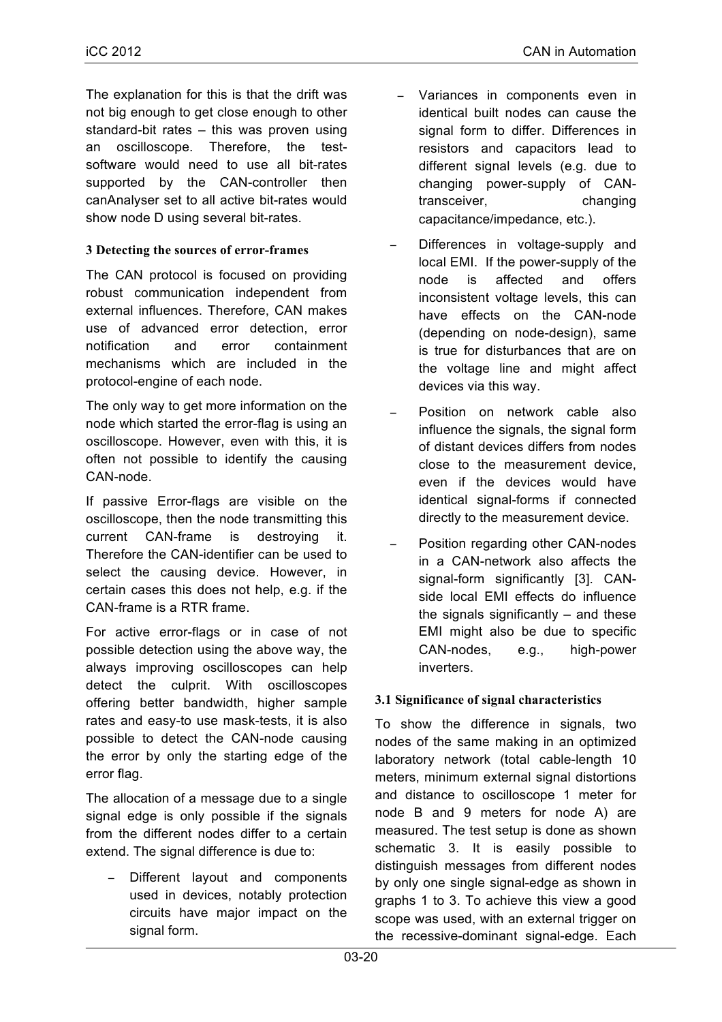The explanation for this is that the drift was not big enough to get close enough to other standard-bit rates – this was proven using an oscilloscope. Therefore, the testsoftware would need to use all bit-rates supported by the CAN-controller then canAnalyser set to all active bit-rates would show node D using several bit-rates.

## **3 Detecting the sources of error-frames**

The CAN protocol is focused on providing robust communication independent from external influences. Therefore, CAN makes use of advanced error detection, error notification and error containment mechanisms which are included in the protocol-engine of each node.

The only way to get more information on the node which started the error-flag is using an oscilloscope. However, even with this, it is often not possible to identify the causing CAN-node.

If passive Error-flags are visible on the oscilloscope, then the node transmitting this current CAN-frame is destroying it. Therefore the CAN-identifier can be used to select the causing device. However, in certain cases this does not help, e.g. if the CAN-frame is a RTR frame.

For active error-flags or in case of not possible detection using the above way, the always improving oscilloscopes can help detect the culprit. With oscilloscopes offering better bandwidth, higher sample rates and easy-to use mask-tests, it is also possible to detect the CAN-node causing the error by only the starting edge of the error flag.

The allocation of a message due to a single signal edge is only possible if the signals from the different nodes differ to a certain extend. The signal difference is due to:

Different layout and components used in devices, notably protection circuits have major impact on the signal form.

- Variances in components even in identical built nodes can cause the signal form to differ. Differences in resistors and capacitors lead to different signal levels (e.g. due to changing power-supply of CANtransceiver, changing capacitance/impedance, etc.).
- Differences in voltage-supply and local EMI. If the power-supply of the node is affected and offers inconsistent voltage levels, this can have effects on the CAN-node (depending on node-design), same is true for disturbances that are on the voltage line and might affect devices via this way.
- − Position on network cable also influence the signals, the signal form of distant devices differs from nodes close to the measurement device, even if the devices would have identical signal-forms if connected directly to the measurement device.
- Position regarding other CAN-nodes in a CAN-network also affects the signal-form significantly [3]. CANside local EMI effects do influence the signals significantly  $-$  and these EMI might also be due to specific CAN-nodes, e.g., high-power inverters.

# **3.1 Significance of signal characteristics**

To show the difference in signals, two nodes of the same making in an optimized laboratory network (total cable-length 10 meters, minimum external signal distortions and distance to oscilloscope 1 meter for node B and 9 meters for node A) are measured. The test setup is done as shown schematic 3. It is easily possible to distinguish messages from different nodes by only one single signal-edge as shown in graphs 1 to 3. To achieve this view a good scope was used, with an external trigger on the recessive-dominant signal-edge. Each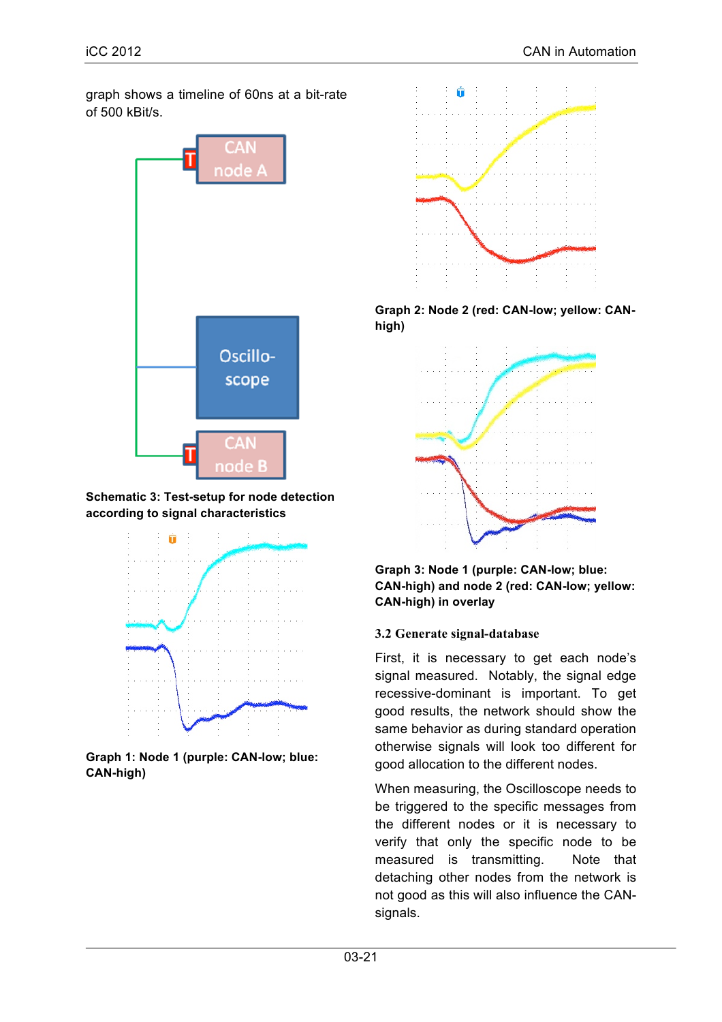graph shows a timeline of 60ns at a bit-rate of 500 kBit/s.



**Schematic 3: Test-setup for node detection according to signal characteristics**



**Graph 1: Node 1 (purple: CAN-low; blue: CAN-high)**



**Graph 2: Node 2 (red: CAN-low; yellow: CANhigh)**



**Graph 3: Node 1 (purple: CAN-low; blue: CAN-high) and node 2 (red: CAN-low; yellow: CAN-high) in overlay**

#### **3.2 Generate signal-database**

First, it is necessary to get each node's signal measured. Notably, the signal edge recessive-dominant is important. To get good results, the network should show the same behavior as during standard operation otherwise signals will look too different for good allocation to the different nodes.

When measuring, the Oscilloscope needs to be triggered to the specific messages from the different nodes or it is necessary to verify that only the specific node to be measured is transmitting. Note that detaching other nodes from the network is not good as this will also influence the CANsignals.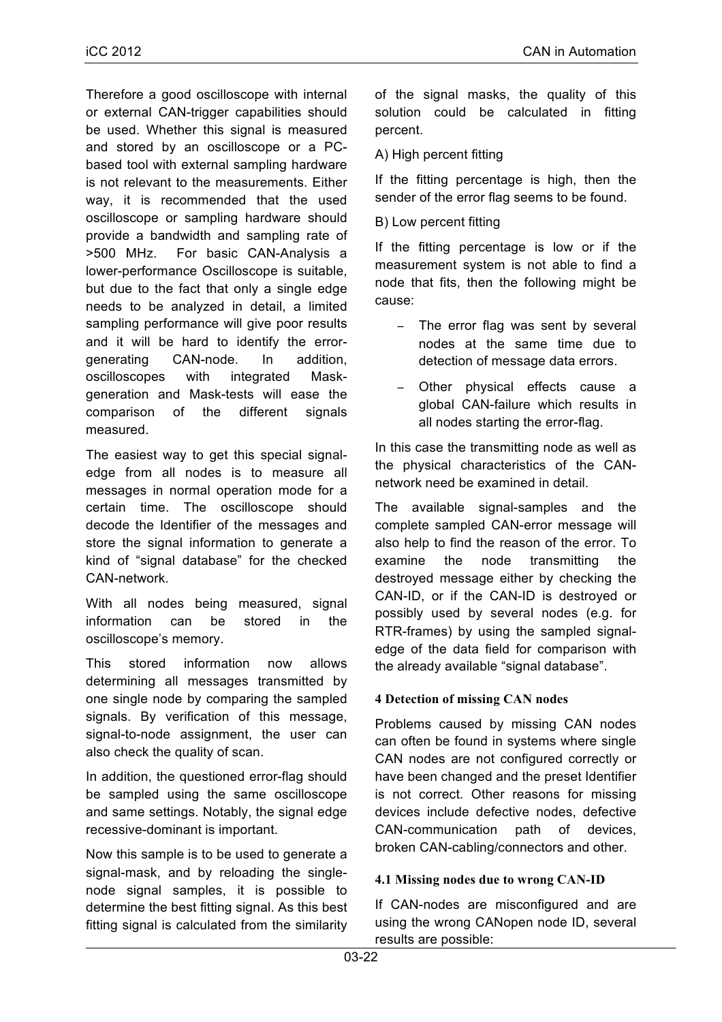Therefore a good oscilloscope with internal or external CAN-trigger capabilities should be used. Whether this signal is measured and stored by an oscilloscope or a PCbased tool with external sampling hardware is not relevant to the measurements. Either way, it is recommended that the used oscilloscope or sampling hardware should provide a bandwidth and sampling rate of >500 MHz. For basic CAN-Analysis a lower-performance Oscilloscope is suitable, but due to the fact that only a single edge needs to be analyzed in detail, a limited sampling performance will give poor results and it will be hard to identify the errorgenerating CAN-node. In addition, oscilloscopes with integrated Maskgeneration and Mask-tests will ease the comparison of the different signals measured.

The easiest way to get this special signaledge from all nodes is to measure all messages in normal operation mode for a certain time. The oscilloscope should decode the Identifier of the messages and store the signal information to generate a kind of "signal database" for the checked CAN-network.

With all nodes being measured, signal information can be stored in the oscilloscope's memory.

This stored information now allows determining all messages transmitted by one single node by comparing the sampled signals. By verification of this message, signal-to-node assignment, the user can also check the quality of scan.

In addition, the questioned error-flag should be sampled using the same oscilloscope and same settings. Notably, the signal edge recessive-dominant is important.

Now this sample is to be used to generate a signal-mask, and by reloading the singlenode signal samples, it is possible to determine the best fitting signal. As this best fitting signal is calculated from the similarity of the signal masks, the quality of this solution could be calculated in fitting percent.

# A) High percent fitting

If the fitting percentage is high, then the sender of the error flag seems to be found.

B) Low percent fitting

If the fitting percentage is low or if the measurement system is not able to find a node that fits, then the following might be cause:

- − The error flag was sent by several nodes at the same time due to detection of message data errors.
- − Other physical effects cause a global CAN-failure which results in all nodes starting the error-flag.

In this case the transmitting node as well as the physical characteristics of the CANnetwork need be examined in detail.

The available signal-samples and the complete sampled CAN-error message will also help to find the reason of the error. To examine the node transmitting the destroyed message either by checking the CAN-ID, or if the CAN-ID is destroyed or possibly used by several nodes (e.g. for RTR-frames) by using the sampled signaledge of the data field for comparison with the already available "signal database".

#### **4 Detection of missing CAN nodes**

Problems caused by missing CAN nodes can often be found in systems where single CAN nodes are not configured correctly or have been changed and the preset Identifier is not correct. Other reasons for missing devices include defective nodes, defective CAN-communication path of devices, broken CAN-cabling/connectors and other.

#### **4.1 Missing nodes due to wrong CAN-ID**

If CAN-nodes are misconfigured and are using the wrong CANopen node ID, several results are possible: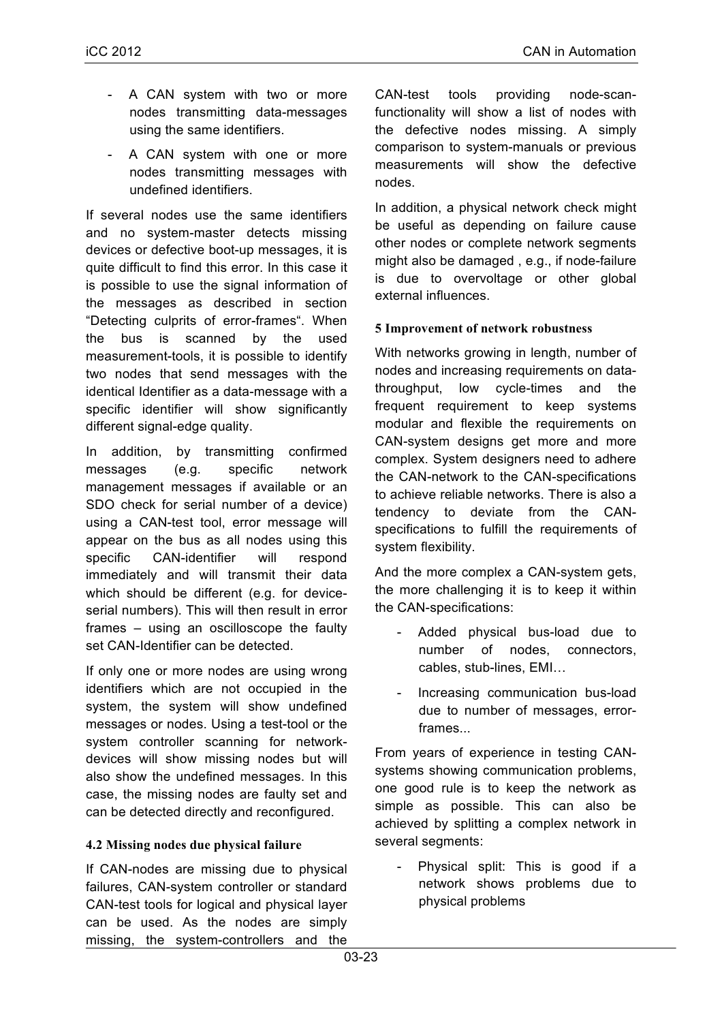- A CAN system with two or more nodes transmitting data-messages using the same identifiers.
- A CAN system with one or more nodes transmitting messages with undefined identifiers.

If several nodes use the same identifiers and no system-master detects missing devices or defective boot-up messages, it is quite difficult to find this error. In this case it is possible to use the signal information of the messages as described in section "Detecting culprits of error-frames". When the bus is scanned by the used measurement-tools, it is possible to identify two nodes that send messages with the identical Identifier as a data-message with a specific identifier will show significantly different signal-edge quality.

In addition, by transmitting confirmed messages (e.g. specific network management messages if available or an SDO check for serial number of a device) using a CAN-test tool, error message will appear on the bus as all nodes using this specific CAN-identifier will respond immediately and will transmit their data which should be different (e.g. for deviceserial numbers). This will then result in error frames – using an oscilloscope the faulty set CAN-Identifier can be detected.

If only one or more nodes are using wrong identifiers which are not occupied in the system, the system will show undefined messages or nodes. Using a test-tool or the system controller scanning for networkdevices will show missing nodes but will also show the undefined messages. In this case, the missing nodes are faulty set and can be detected directly and reconfigured.

#### **4.2 Missing nodes due physical failure**

If CAN-nodes are missing due to physical failures, CAN-system controller or standard CAN-test tools for logical and physical layer can be used. As the nodes are simply missing, the system-controllers and the

CAN-test tools providing node-scanfunctionality will show a list of nodes with the defective nodes missing. A simply comparison to system-manuals or previous measurements will show the defective nodes.

In addition, a physical network check might be useful as depending on failure cause other nodes or complete network segments might also be damaged , e.g., if node-failure is due to overvoltage or other global external influences.

#### **5 Improvement of network robustness**

With networks growing in length, number of nodes and increasing requirements on datathroughput, low cycle-times and the frequent requirement to keep systems modular and flexible the requirements on CAN-system designs get more and more complex. System designers need to adhere the CAN-network to the CAN-specifications to achieve reliable networks. There is also a tendency to deviate from the CANspecifications to fulfill the requirements of system flexibility.

And the more complex a CAN-system gets, the more challenging it is to keep it within the CAN-specifications:

- Added physical bus-load due to number of nodes, connectors, cables, stub-lines, EMI…
- Increasing communication bus-load due to number of messages, errorframes...

From years of experience in testing CANsystems showing communication problems, one good rule is to keep the network as simple as possible. This can also be achieved by splitting a complex network in several segments:

- Physical split: This is good if a network shows problems due to physical problems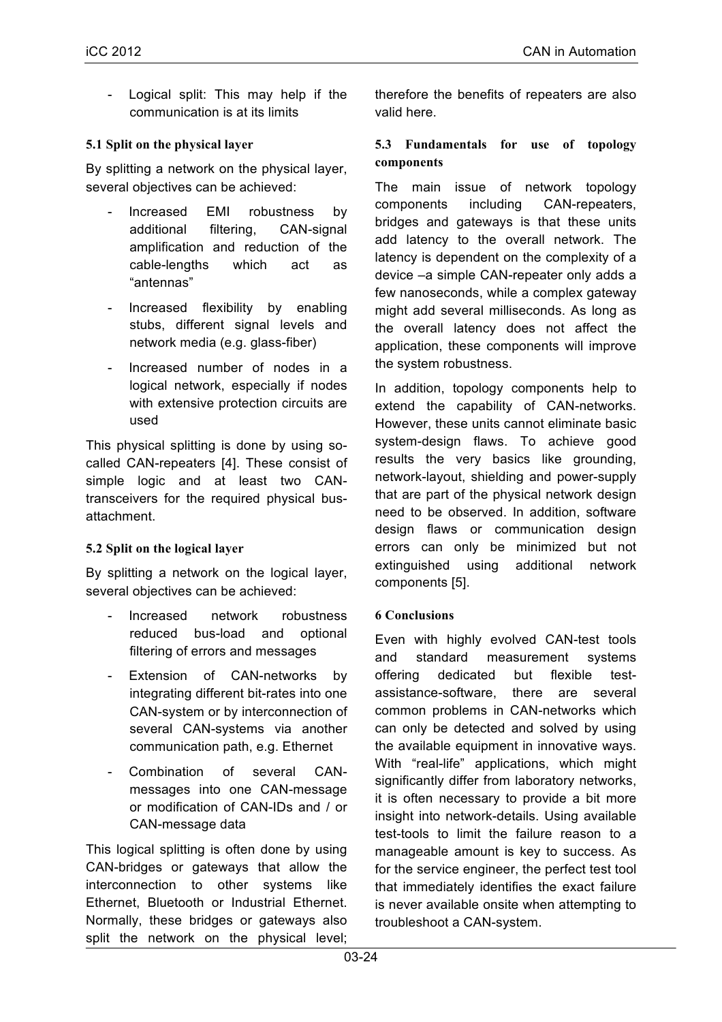Logical split: This may help if the communication is at its limits

## **5.1 Split on the physical layer**

By splitting a network on the physical layer, several objectives can be achieved:

- Increased EMI robustness by additional filtering, CAN-signal amplification and reduction of the cable-lengths which act as "antennas"
- Increased flexibility by enabling stubs, different signal levels and network media (e.g. glass-fiber)
- Increased number of nodes in a logical network, especially if nodes with extensive protection circuits are used

This physical splitting is done by using socalled CAN-repeaters [4]. These consist of simple logic and at least two CANtransceivers for the required physical busattachment.

#### **5.2 Split on the logical layer**

By splitting a network on the logical layer, several objectives can be achieved:

- Increased network robustness reduced bus-load and optional filtering of errors and messages
- Extension of CAN-networks by integrating different bit-rates into one CAN-system or by interconnection of several CAN-systems via another communication path, e.g. Ethernet
- Combination of several CANmessages into one CAN-message or modification of CAN-IDs and / or CAN-message data

This logical splitting is often done by using CAN-bridges or gateways that allow the interconnection to other systems like Ethernet, Bluetooth or Industrial Ethernet. Normally, these bridges or gateways also split the network on the physical level;

therefore the benefits of repeaters are also valid here.

#### **5.3 Fundamentals for use of topology components**

The main issue of network topology components including CAN-repeaters, bridges and gateways is that these units add latency to the overall network. The latency is dependent on the complexity of a device –a simple CAN-repeater only adds a few nanoseconds, while a complex gateway might add several milliseconds. As long as the overall latency does not affect the application, these components will improve the system robustness.

In addition, topology components help to extend the capability of CAN-networks. However, these units cannot eliminate basic system-design flaws. To achieve good results the very basics like grounding, network-layout, shielding and power-supply that are part of the physical network design need to be observed. In addition, software design flaws or communication design errors can only be minimized but not extinguished using additional network components [5].

# **6 Conclusions**

Even with highly evolved CAN-test tools and standard measurement systems offering dedicated but flexible testassistance-software, there are several common problems in CAN-networks which can only be detected and solved by using the available equipment in innovative ways. With "real-life" applications, which might significantly differ from laboratory networks, it is often necessary to provide a bit more insight into network-details. Using available test-tools to limit the failure reason to a manageable amount is key to success. As for the service engineer, the perfect test tool that immediately identifies the exact failure is never available onsite when attempting to troubleshoot a CAN-system.